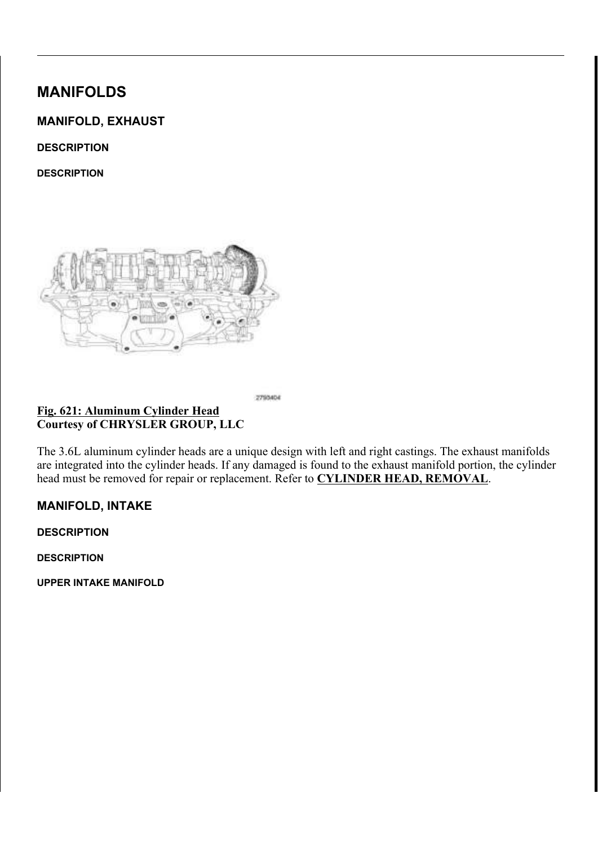# MANIFOLDS

# MANIFOLD, EXHAUST

**DESCRIPTION** 

**DESCRIPTION** 



Fig. 621: Aluminum Cylinder Head Courtesy of CHRYSLER GROUP, LLC

The 3.6L aluminum cylinder heads are a unique design with left and right castings. The exhaust manifolds are integrated into the cylinder heads. If any damaged is found to the exhaust manifold portion, the cylinder head must be removed for repair or replacement. Refer to CYLINDER HEAD, REMOVAL.

2793404

# MANIFOLD, INTAKE

**DESCRIPTION** 

**DESCRIPTION** 

UPPER INTAKE MANIFOLD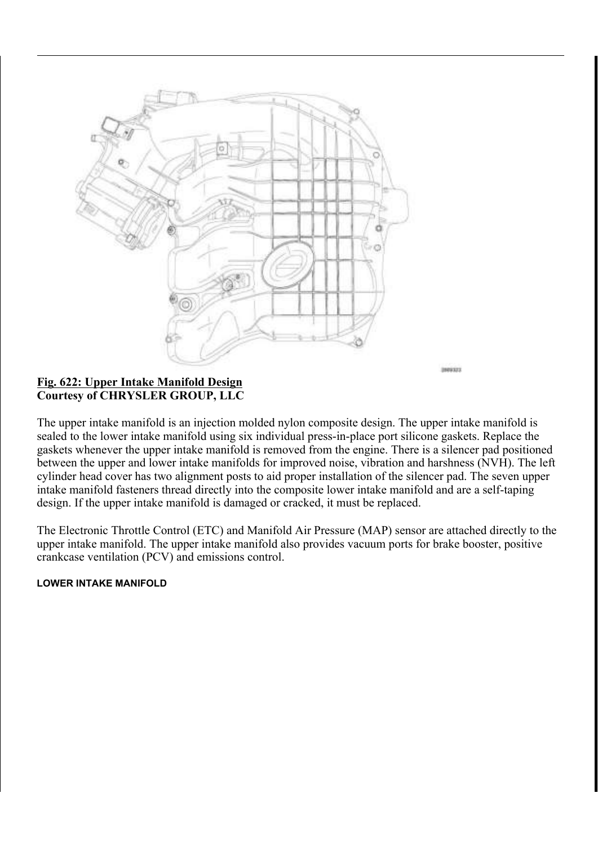

#### Fig. 622: Upper Intake Manifold Design Courtesy of CHRYSLER GROUP, LLC

The upper intake manifold is an injection molded nylon composite design. The upper intake manifold is sealed to the lower intake manifold using six individual press-in-place port silicone gaskets. Replace the gaskets whenever the upper intake manifold is removed from the engine. There is a silencer pad positioned between the upper and lower intake manifolds for improved noise, vibration and harshness (NVH). The left cylinder head cover has two alignment posts to aid proper installation of the silencer pad. The seven upper intake manifold fasteners thread directly into the composite lower intake manifold and are a self-taping design. If the upper intake manifold is damaged or cracked, it must be replaced.

INNUSER

The Electronic Throttle Control (ETC) and Manifold Air Pressure (MAP) sensor are attached directly to the upper intake manifold. The upper intake manifold also provides vacuum ports for brake booster, positive crankcase ventilation (PCV) and emissions control.

#### LOWER INTAKE MANIFOLD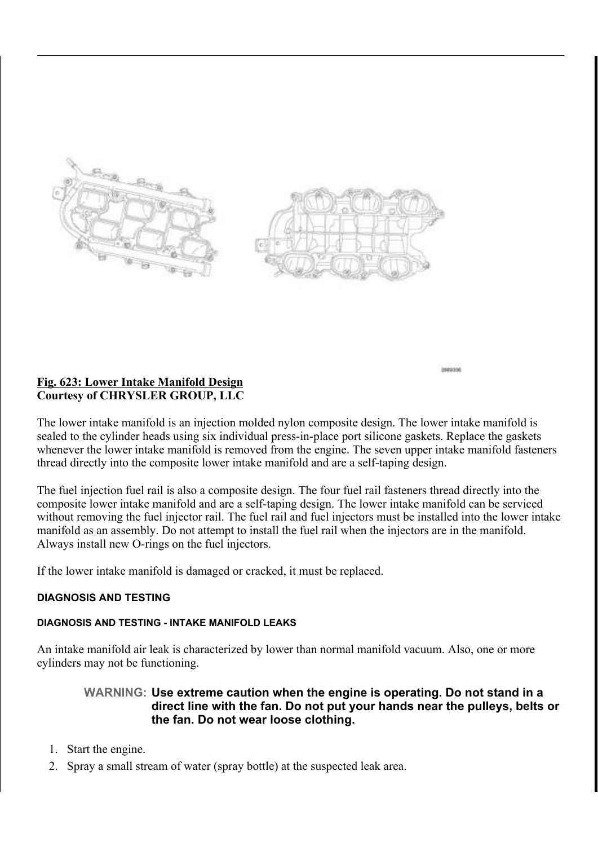

1009336

# Fig. 623: Lower Intake Manifold Design Courtesy of CHRYSLER GROUP, LLC

The lower intake manifold is an injection molded nylon composite design. The lower intake manifold is sealed to the cylinder heads using six individual press-in-place port silicone gaskets. Replace the gaskets whenever the lower intake manifold is removed from the engine. The seven upper intake manifold fasteners thread directly into the composite lower intake manifold and are a self-taping design.

The fuel injection fuel rail is also a composite design. The four fuel rail fasteners thread directly into the composite lower intake manifold and are a self-taping design. The lower intake manifold can be serviced without removing the fuel injector rail. The fuel rail and fuel injectors must be installed into the lower intake manifold as an assembly. Do not attempt to install the fuel rail when the injectors are in the manifold. Always install new O-rings on the fuel injectors.

If the lower intake manifold is damaged or cracked, it must be replaced.

## DIAGNOSIS AND TESTING

## DIAGNOSIS AND TESTING - INTAKE MANIFOLD LEAKS

An intake manifold air leak is characterized by lower than normal manifold vacuum. Also, one or more cylinders may not be functioning.

# WARNING: Use extreme caution when the engine is operating. Do not stand in a direct line with the fan. Do not put your hands near the pulleys, belts or the fan. Do not wear loose clothing.

- 1. Start the engine.
- 2. Spray a small stream of water (spray bottle) at the suspected leak area.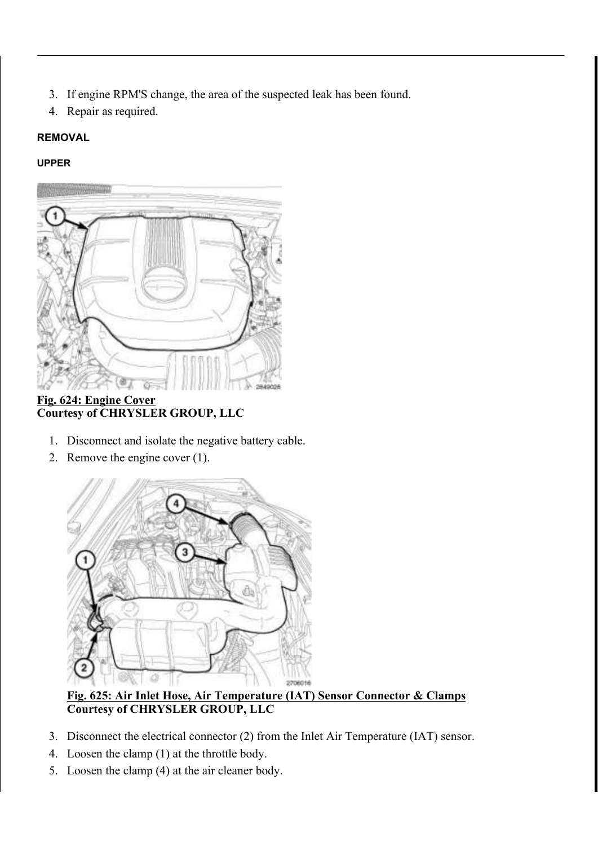- 3. If engine RPM'S change, the area of the suspected leak has been found.
- 4. Repair as required.

# REMOVAL

# UPPER



## Fig. 624: Engine Cover Courtesy of CHRYSLER GROUP, LLC

- 1. Disconnect and isolate the negative battery cable.
- 2. Remove the engine cover (1).



# Fig. 625: Air Inlet Hose, Air Temperature (IAT) Sensor Connector & Clamps Courtesy of CHRYSLER GROUP, LLC

- 3. Disconnect the electrical connector (2) from the Inlet Air Temperature (IAT) sensor.
- 4. Loosen the clamp (1) at the throttle body.
- 5. Loosen the clamp (4) at the air cleaner body.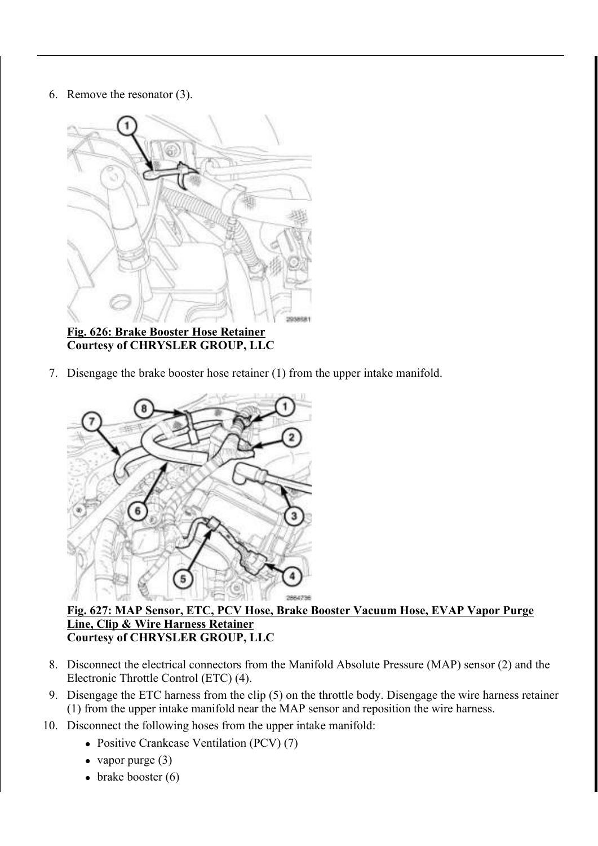#### 6. Remove the resonator (3).



Fig. 626: Brake Booster Hose Retainer Courtesy of CHRYSLER GROUP, LLC

7. Disengage the brake booster hose retainer (1) from the upper intake manifold.



#### Fig. 627: MAP Sensor, ETC, PCV Hose, Brake Booster Vacuum Hose, EVAP Vapor Purge Line, Clip & Wire Harness Retainer Courtesy of CHRYSLER GROUP, LLC

- 8. Disconnect the electrical connectors from the Manifold Absolute Pressure (MAP) sensor (2) and the Electronic Throttle Control (ETC) (4).
- 9. Disengage the ETC harness from the clip (5) on the throttle body. Disengage the wire harness retainer (1) from the upper intake manifold near the MAP sensor and reposition the wire harness.
- 10. Disconnect the following hoses from the upper intake manifold:
	- Positive Crankcase Ventilation (PCV) (7)
	- vapor purge  $(3)$
	- $\bullet$  brake booster (6)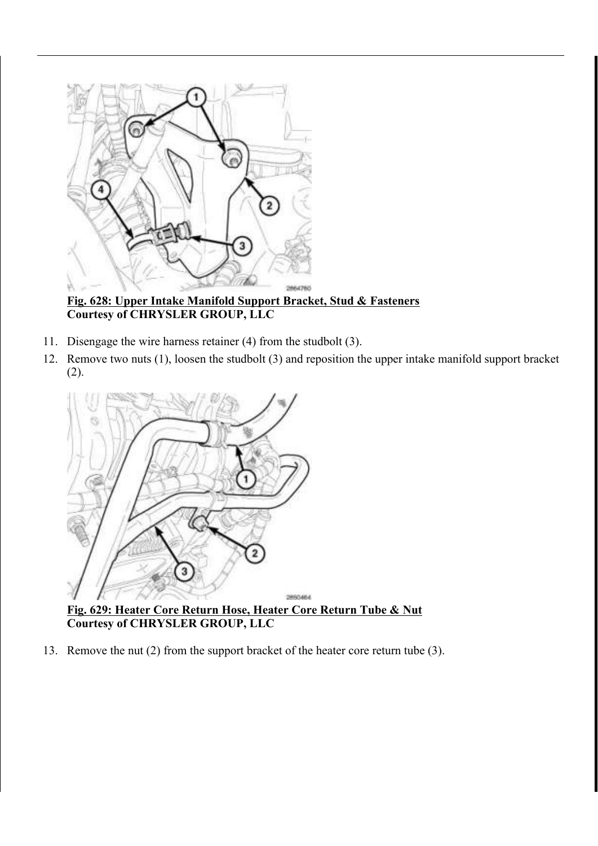

Fig. 628: Upper Intake Manifold Support Bracket, Stud & Fasteners Courtesy of CHRYSLER GROUP, LLC

- 11. Disengage the wire harness retainer (4) from the studbolt (3).
- 12. Remove two nuts (1), loosen the studbolt (3) and reposition the upper intake manifold support bracket (2).



Fig. 629: Heater Core Return Hose, Heater Core Return Tube & Nut Courtesy of CHRYSLER GROUP, LLC

13. Remove the nut (2) from the support bracket of the heater core return tube (3).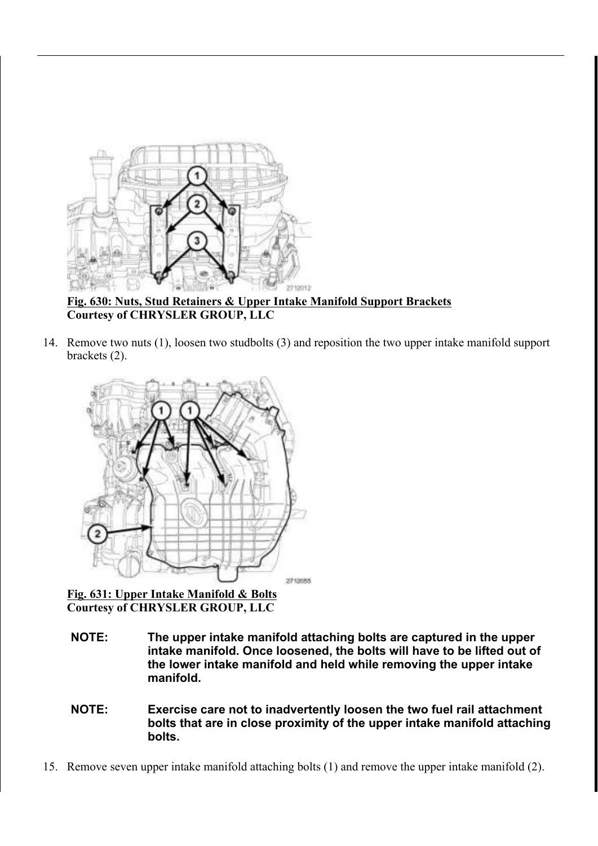

Fig. 630: Nuts, Stud Retainers & Upper Intake Manifold Support Brackets Courtesy of CHRYSLER GROUP, LLC

14. Remove two nuts (1), loosen two studbolts (3) and reposition the two upper intake manifold support brackets (2).



Fig. 631: Upper Intake Manifold & Bolts Courtesy of CHRYSLER GROUP, LLC

- NOTE: The upper intake manifold attaching bolts are captured in the upper intake manifold. Once loosened, the bolts will have to be lifted out of the lower intake manifold and held while removing the upper intake manifold.
- NOTE: Exercise care not to inadvertently loosen the two fuel rail attachment bolts that are in close proximity of the upper intake manifold attaching bolts.
- 15. Remove seven upper intake manifold attaching bolts (1) and remove the upper intake manifold (2).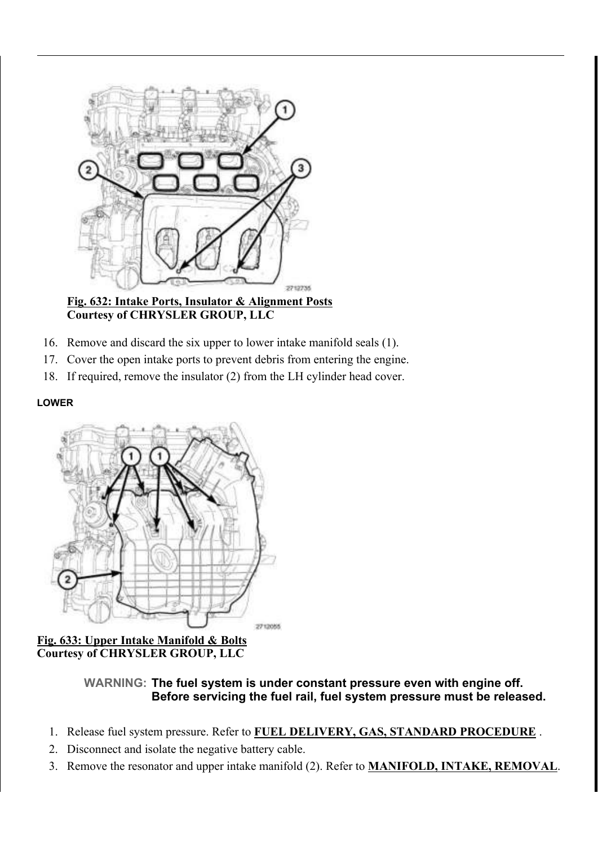

Fig. 632: Intake Ports, Insulator & Alignment Posts Courtesy of CHRYSLER GROUP, LLC

- 16. Remove and discard the six upper to lower intake manifold seals (1).
- 17. Cover the open intake ports to prevent debris from entering the engine.
- 18. If required, remove the insulator (2) from the LH cylinder head cover.

#### LOWER



Fig. 633: Upper Intake Manifold & Bolts Courtesy of CHRYSLER GROUP, LLC

> WARNING: The fuel system is under constant pressure even with engine off. Before servicing the fuel rail, fuel system pressure must be released.

- 1. Release fuel system pressure. Refer to FUEL DELIVERY, GAS, STANDARD PROCEDURE.
- 2. Disconnect and isolate the negative battery cable.
- 3. Remove the resonator and upper intake manifold (2). Refer to **MANIFOLD, INTAKE, REMOVAL**.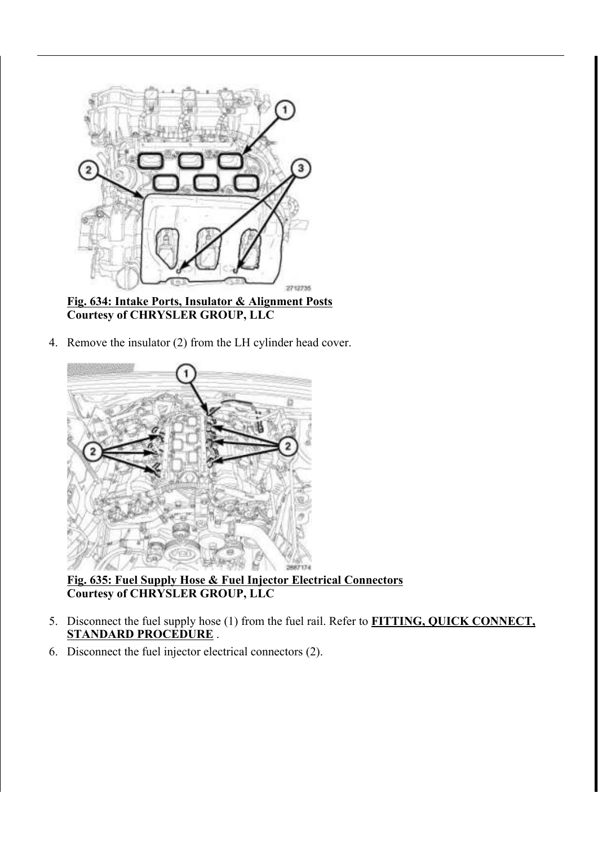

Fig. 634: Intake Ports, Insulator & Alignment Posts Courtesy of CHRYSLER GROUP, LLC

4. Remove the insulator (2) from the LH cylinder head cover.



Fig. 635: Fuel Supply Hose & Fuel Injector Electrical Connectors Courtesy of CHRYSLER GROUP, LLC

- 5. Disconnect the fuel supply hose (1) from the fuel rail. Refer to **FITTING, QUICK CONNECT**, STANDARD PROCEDURE.
- 6. Disconnect the fuel injector electrical connectors (2).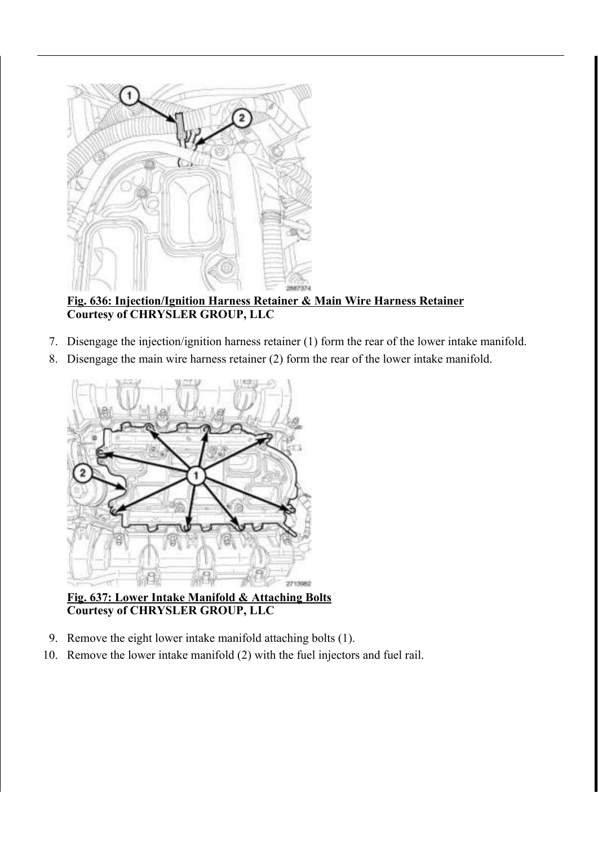

# Fig. 636: Injection/Ignition Harness Retainer & Main Wire Harness Retainer Courtesy of CHRYSLER GROUP, LLC

- 7. Disengage the injection/ignition harness retainer (1) form the rear of the lower intake manifold.
- 8. Disengage the main wire harness retainer (2) form the rear of the lower intake manifold.



Fig. 637: Lower Intake Manifold & Attaching Bolts Courtesy of CHRYSLER GROUP, LLC

- 9. Remove the eight lower intake manifold attaching bolts (1).
- 10. Remove the lower intake manifold (2) with the fuel injectors and fuel rail.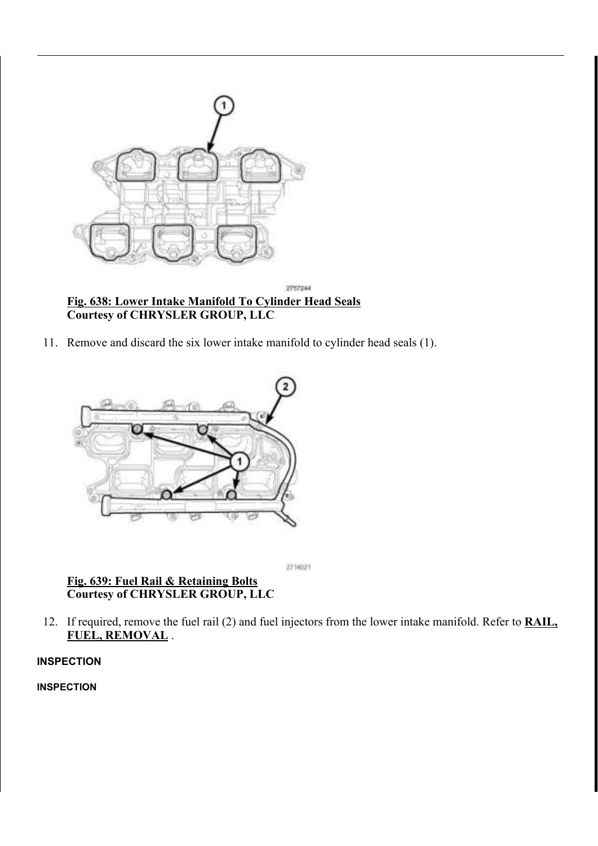

- Courtesy of CHRYSLER GROUP, LLC
- 11. Remove and discard the six lower intake manifold to cylinder head seals (1).



2714021

# Fig. 639: Fuel Rail & Retaining Bolts Courtesy of CHRYSLER GROUP, LLC

12. If required, remove the fuel rail (2) and fuel injectors from the lower intake manifold. Refer to **RAIL**, FUEL, REMOVAL .

## INSPECTION

INSPECTION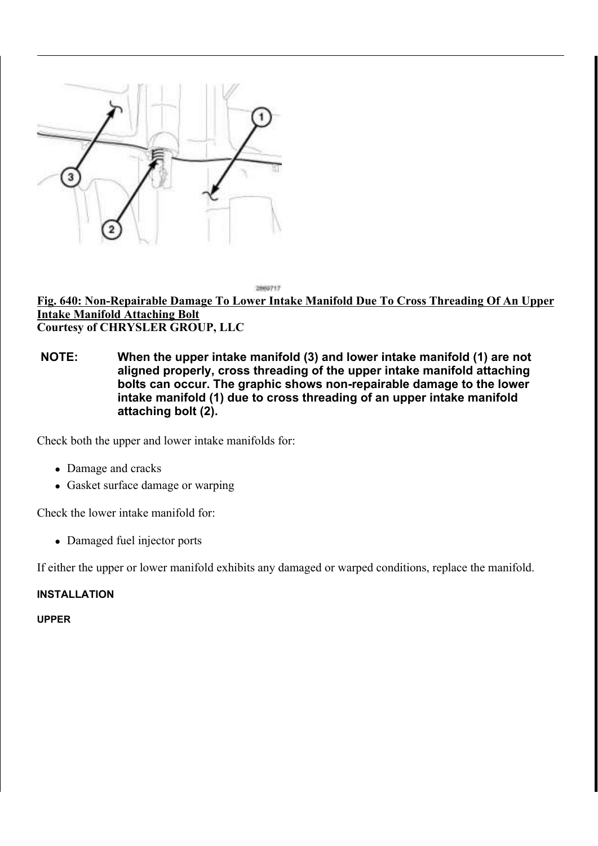

Fig. 640: Non-Repairable Damage To Lower Intake Manifold Due To Cross Threading Of An Upper Intake Manifold Attaching Bolt Courtesy of CHRYSLER GROUP, LLC

2889717

NOTE: When the upper intake manifold (3) and lower intake manifold (1) are not aligned properly, cross threading of the upper intake manifold attaching bolts can occur. The graphic shows non-repairable damage to the lower intake manifold (1) due to cross threading of an upper intake manifold attaching bolt (2).

Check both the upper and lower intake manifolds for:

- Damage and cracks
- Gasket surface damage or warping

Check the lower intake manifold for:

• Damaged fuel injector ports

If either the upper or lower manifold exhibits any damaged or warped conditions, replace the manifold.

#### INSTALLATION

UPPER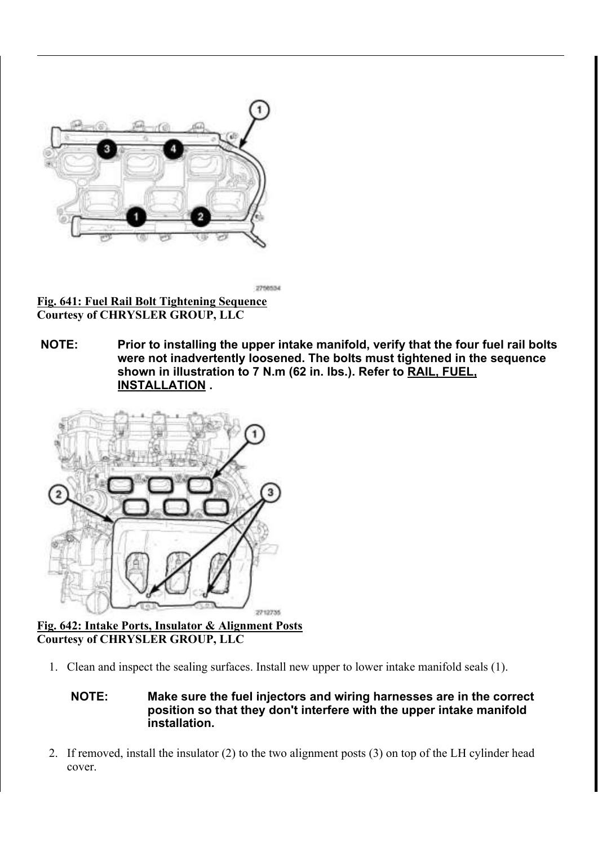

Fig. 641: Fuel Rail Bolt Tightening Sequence Courtesy of CHRYSLER GROUP, LLC

NOTE: Prior to installing the upper intake manifold, verify that the four fuel rail bolts were not inadvertently loosened. The bolts must tightened in the sequence shown in illustration to 7 N.m (62 in. lbs.). Refer to RAIL, FUEL, INSTALLATION .

2708534



# Fig. 642: Intake Ports, Insulator & Alignment Posts Courtesy of CHRYSLER GROUP, LLC

1. Clean and inspect the sealing surfaces. Install new upper to lower intake manifold seals (1).

NOTE: Make sure the fuel injectors and wiring harnesses are in the correct position so that they don't interfere with the upper intake manifold installation.

2. If removed, install the insulator (2) to the two alignment posts (3) on top of the LH cylinder head cover.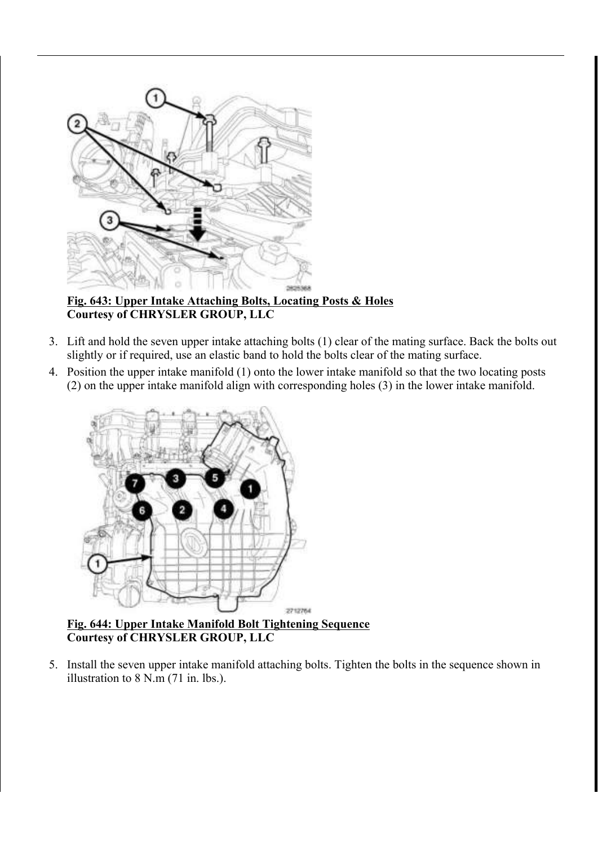

Fig. 643: Upper Intake Attaching Bolts, Locating Posts & Holes Courtesy of CHRYSLER GROUP, LLC

- 3. Lift and hold the seven upper intake attaching bolts (1) clear of the mating surface. Back the bolts out slightly or if required, use an elastic band to hold the bolts clear of the mating surface.
- 4. Position the upper intake manifold (1) onto the lower intake manifold so that the two locating posts (2) on the upper intake manifold align with corresponding holes (3) in the lower intake manifold.



Fig. 644: Upper Intake Manifold Bolt Tightening Sequence Courtesy of CHRYSLER GROUP, LLC

5. Install the seven upper intake manifold attaching bolts. Tighten the bolts in the sequence shown in illustration to 8 N.m (71 in. lbs.).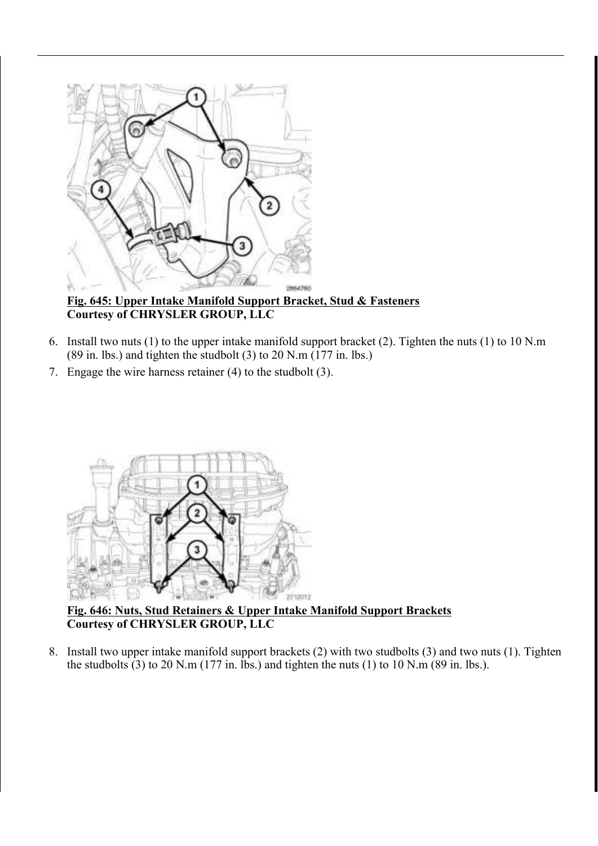

Fig. 645: Upper Intake Manifold Support Bracket, Stud & Fasteners Courtesy of CHRYSLER GROUP, LLC

- 6. Install two nuts (1) to the upper intake manifold support bracket (2). Tighten the nuts (1) to 10 N.m (89 in. lbs.) and tighten the studbolt (3) to 20 N.m (177 in. lbs.)
- 7. Engage the wire harness retainer (4) to the studbolt (3).



Fig. 646: Nuts, Stud Retainers & Upper Intake Manifold Support Brackets Courtesy of CHRYSLER GROUP, LLC

8. Install two upper intake manifold support brackets (2) with two studbolts (3) and two nuts (1). Tighten the studbolts (3) to 20 N.m (177 in. lbs.) and tighten the nuts (1) to 10 N.m (89 in. lbs.).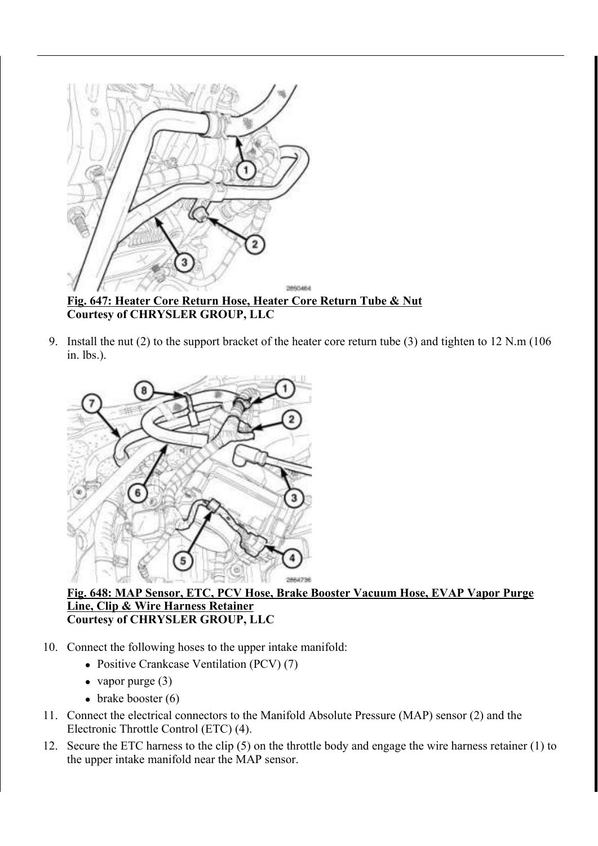

Courtesy of CHRYSLER GROUP, LLC

9. Install the nut (2) to the support bracket of the heater core return tube (3) and tighten to 12 N.m (106 in. lbs.).



Fig. 648: MAP Sensor, ETC, PCV Hose, Brake Booster Vacuum Hose, EVAP Vapor Purge Line, Clip & Wire Harness Retainer Courtesy of CHRYSLER GROUP, LLC

- 10. Connect the following hoses to the upper intake manifold:
	- Positive Crankcase Ventilation (PCV) (7)
	- vapor purge  $(3)$
	- $\bullet$  brake booster (6)
- 11. Connect the electrical connectors to the Manifold Absolute Pressure (MAP) sensor (2) and the Electronic Throttle Control (ETC) (4).
- 12. Secure the ETC harness to the clip (5) on the throttle body and engage the wire harness retainer (1) to the upper intake manifold near the MAP sensor.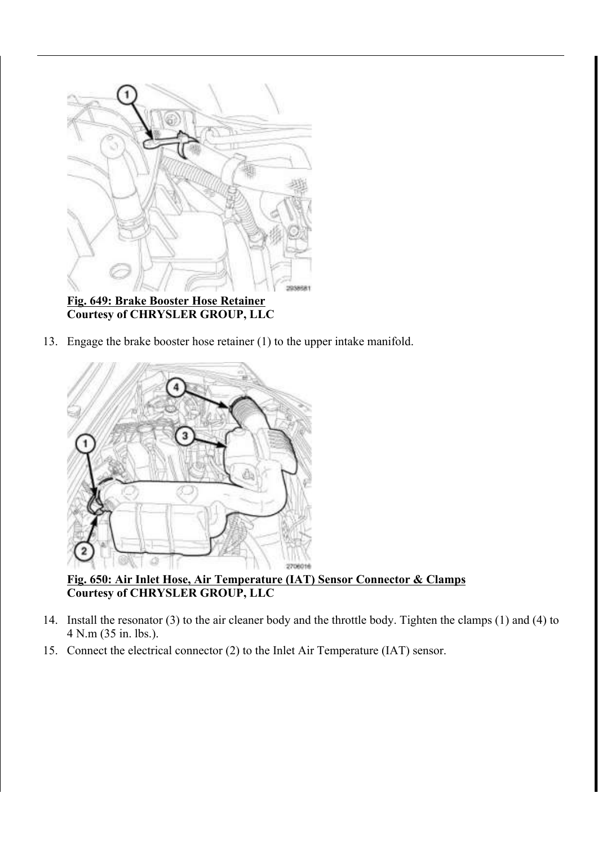

13. Engage the brake booster hose retainer (1) to the upper intake manifold.



Fig. 650: Air Inlet Hose, Air Temperature (IAT) Sensor Connector & Clamps Courtesy of CHRYSLER GROUP, LLC

- 14. Install the resonator (3) to the air cleaner body and the throttle body. Tighten the clamps (1) and (4) to 4 N.m (35 in. lbs.).
- 15. Connect the electrical connector (2) to the Inlet Air Temperature (IAT) sensor.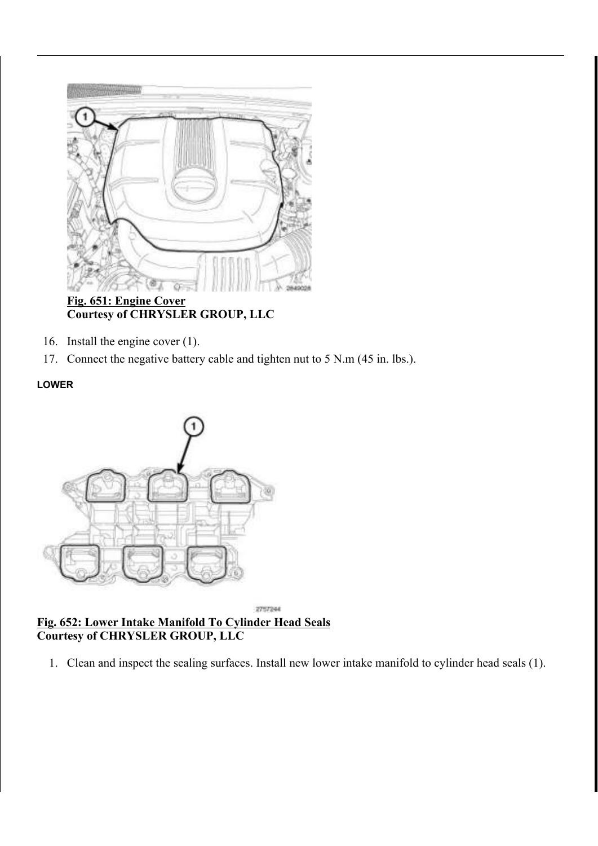

Fig. 651: Engine Cover Courtesy of CHRYSLER GROUP, LLC

- 16. Install the engine cover (1).
- 17. Connect the negative battery cable and tighten nut to 5 N.m (45 in. lbs.).

# LOWER



#### 2757244 Fig. 652: Lower Intake Manifold To Cylinder Head Seals Courtesy of CHRYSLER GROUP, LLC

1. Clean and inspect the sealing surfaces. Install new lower intake manifold to cylinder head seals (1).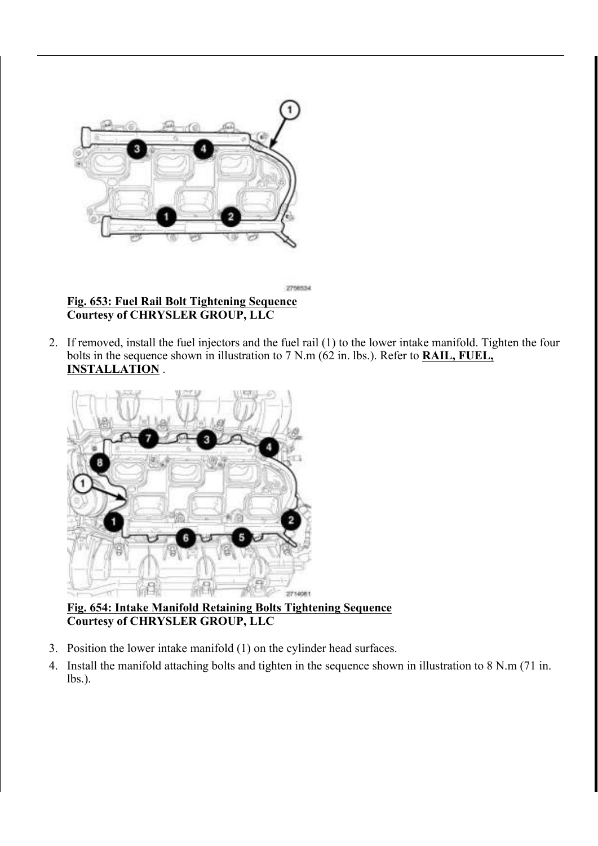

Fig. 653: Fuel Rail Bolt Tightening Sequence Courtesy of CHRYSLER GROUP, LLC

2. If removed, install the fuel injectors and the fuel rail (1) to the lower intake manifold. Tighten the four bolts in the sequence shown in illustration to 7 N.m (62 in. lbs.). Refer to **RAIL, FUEL**, INSTALLATION .



# Fig. 654: Intake Manifold Retaining Bolts Tightening Sequence Courtesy of CHRYSLER GROUP, LLC

- 3. Position the lower intake manifold (1) on the cylinder head surfaces.
- 4. Install the manifold attaching bolts and tighten in the sequence shown in illustration to 8 N.m (71 in. lbs.).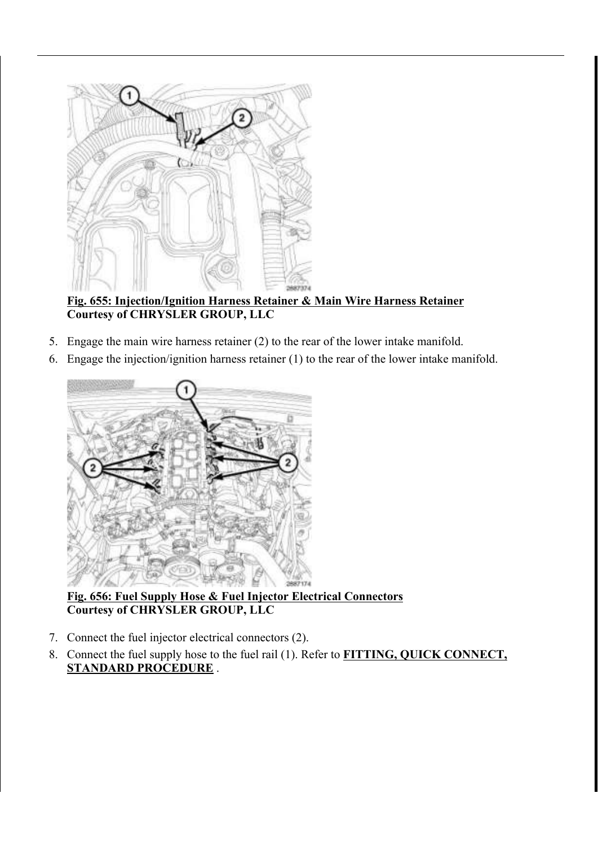

Fig. 655: Injection/Ignition Harness Retainer & Main Wire Harness Retainer Courtesy of CHRYSLER GROUP, LLC

- 5. Engage the main wire harness retainer (2) to the rear of the lower intake manifold.
- 6. Engage the injection/ignition harness retainer (1) to the rear of the lower intake manifold.



Fig. 656: Fuel Supply Hose & Fuel Injector Electrical Connectors Courtesy of CHRYSLER GROUP, LLC

- 7. Connect the fuel injector electrical connectors (2).
- 8. Connect the fuel supply hose to the fuel rail (1). Refer to FITTING, QUICK CONNECT, STANDARD PROCEDURE .